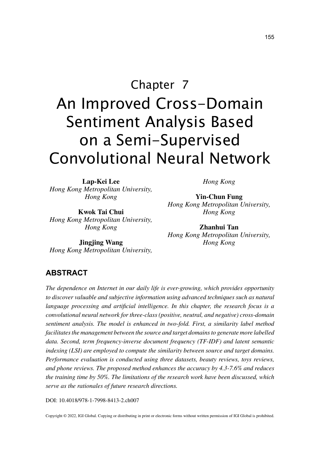# Chapter 7 An Improved Cross-Domain Sentiment Analysis Based on a Semi-Supervised Convolutional Neural Network

**Lap-Kei Lee** *Hong Kong Metropolitan University, Hong Kong*

**Kwok Tai Chui** *Hong Kong Metropolitan University, Hong Kong*

**Jingjing Wang** *Hong Kong Metropolitan University,*  *Hong Kong*

**Yin-Chun Fung** *Hong Kong Metropolitan University, Hong Kong*

**Zhanhui Tan** *Hong Kong Metropolitan University, Hong Kong*

### **ABSTRACT**

*The dependence on Internet in our daily life is ever-growing, which provides opportunity*  to discover valuable and subjective information using advanced techniques such as natural *language processing and artificial intelligence. In this chapter, the research focus is a convolutional neural network for three-class (positive, neutral, and negative) cross-domain sentiment analysis. The model is enhanced in two-fold. First, a similarity label method facilitates the management between the source and target domains to generate more labelled data. Second, term frequency-inverse document frequency (TF-IDF) and latent semantic indexing (LSI) are employed to compute the similarity between source and target domains. Performance evaluation is conducted using three datasets, beauty reviews, toys reviews, and phone reviews. The proposed method enhances the accuracy by 4.3-7.6% and reduces the training time by 50%. The limitations of the research work have been discussed, which serve as the rationales of future research directions.*

DOI: 10.4018/978-1-7998-8413-2.ch007

Copyright © 2022, IGI Global. Copying or distributing in print or electronic forms without written permission of IGI Global is prohibited.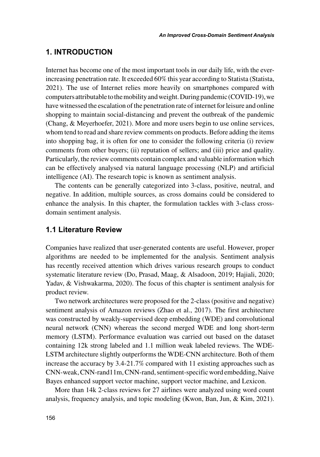## **1. INTRODUCTION**

Internet has become one of the most important tools in our daily life, with the everincreasing penetration rate. It exceeded 60% this year according to Statista (Statista, 2021). The use of Internet relies more heavily on smartphones compared with computers attributable to the mobility and weight. During pandemic (COVID-19), we have witnessed the escalation of the penetration rate of internet for leisure and online shopping to maintain social-distancing and prevent the outbreak of the pandemic (Chang, & Meyerhoefer, 2021). More and more users begin to use online services, whom tend to read and share review comments on products. Before adding the items into shopping bag, it is often for one to consider the following criteria (i) review comments from other buyers; (ii) reputation of sellers; and (iii) price and quality. Particularly, the review comments contain complex and valuable information which can be effectively analysed via natural language processing (NLP) and artificial intelligence (AI). The research topic is known as sentiment analysis.

The contents can be generally categorized into 3-class, positive, neutral, and negative. In addition, multiple sources, as cross domains could be considered to enhance the analysis. In this chapter, the formulation tackles with 3-class crossdomain sentiment analysis.

### **1.1 Literature Review**

Companies have realized that user-generated contents are useful. However, proper algorithms are needed to be implemented for the analysis. Sentiment analysis has recently received attention which drives various research groups to conduct systematic literature review (Do, Prasad, Maag, & Alsadoon, 2019; Hajiali, 2020; Yadav, & Vishwakarma, 2020). The focus of this chapter is sentiment analysis for product review.

Two network architectures were proposed for the 2-class (positive and negative) sentiment analysis of Amazon reviews (Zhao et al., 2017). The first architecture was constructed by weakly-supervised deep embedding (WDE) and convolutional neural network (CNN) whereas the second merged WDE and long short-term memory (LSTM). Performance evaluation was carried out based on the dataset containing 12k strong labeled and 1.1 million weak labeled reviews. The WDE-LSTM architecture slightly outperforms the WDE-CNN architecture. Both of them increase the accuracy by 3.4-21.7% compared with 11 existing approaches such as CNN-weak, CNN-rand11m, CNN-rand, sentiment-specific word embedding, Naive Bayes enhanced support vector machine, support vector machine, and Lexicon.

More than 14k 2-class reviews for 27 airlines were analyzed using word count analysis, frequency analysis, and topic modeling (Kwon, Ban, Jun, & Kim, 2021).